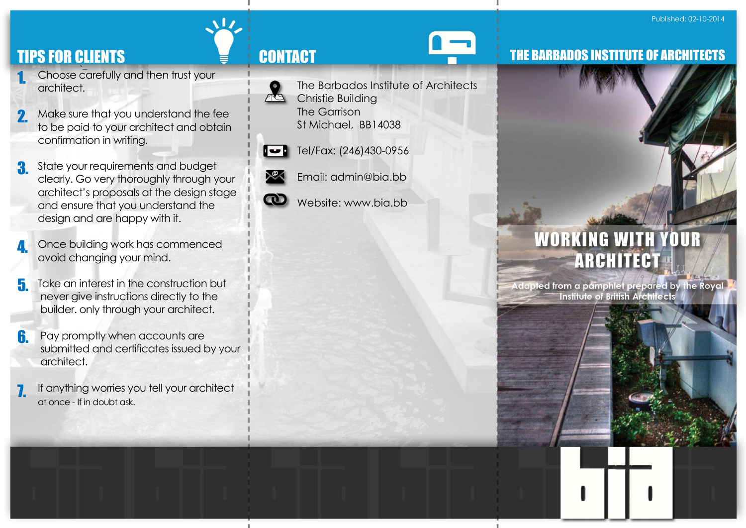# TIPS FOR CLIENTS TIPS FOR CLIENTS

- `– Choose carefully and then trust your architect. 1.
- Make sure that you understand the fee to be paid to your architect and obtain confirmation in writing. 2.
- State your requirements and budget clearly. Go very thoroughly through your architect's proposals at the design stage and ensure that you understand the design and are happy with it. 3.
- Once building work has commenced avoid changing your mind. 4.
- Take an interest in the construction but never give instructions directly to the builder. only through your architect. 5.
- Pay promptly when accounts are submitted and certificates issued by your architect. 6.
- If anything worries you tell your architect at once - If in doubt ask. 7.



 $\sqrt{17}$ 

- The Barbados Institute of Architects
- Christie Building The Garrison St Michael, BB14038



Tel/Fax: (246)430-0956



- Email: admin@bia.bb
- Website: www.bia.bb

# THE BARBADOS INSTITUTE OF ARCHITECTS



Adapted from a pamphlet prepared by the Royal **Institute of British Architects**